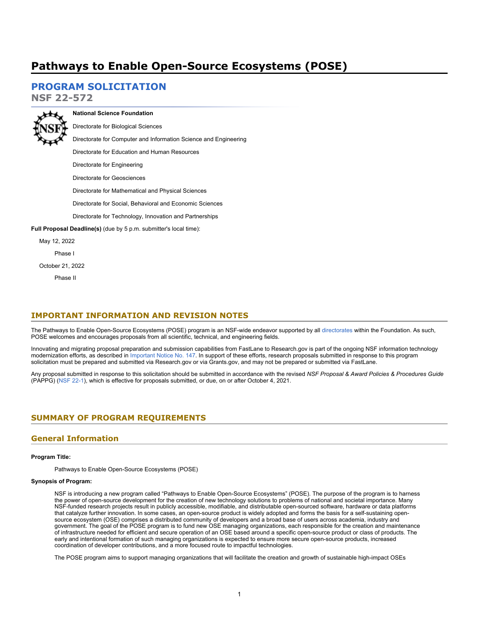# **Pathways to Enable Open-Source Ecosystems (POSE)**

## **[PROGRAM SOLICITATION](#page-3-0)**

**NSF 22-572**



## **National Science Foundation** Directorate for Biological Sciences

Directorate for Computer and Information Science and Engineering

Directorate for Education and Human Resources

Directorate for Engineering

Directorate for Geosciences

Directorate for Mathematical and Physical Sciences

Directorate for Social, Behavioral and Economic Sciences

Directorate for Technology, Innovation and Partnerships

**Full Proposal Deadline(s)** (due by 5 p.m. submitter's local time):

May 12, 2022

Phase I

October 21, 2022

Phase II

### **IMPORTANT INFORMATION AND REVISION NOTES**

The Pathways to Enable Open-Source Ecosystems (POSE) program is an NSF-wide endeavor supported by all [directorates](https://www.nsf.gov/about/research_areas.jsp) within the Foundation. As such, POSE welcomes and encourages proposals from all scientific, technical, and engineering fields.

Innovating and migrating proposal preparation and submission capabilities from FastLane to Research.gov is part of the ongoing NSF information technology modernization efforts, as described in [Important Notice No. 147.](https://www.nsf.gov/publications/pub_summ.jsp?ods_key=in147) In support of these efforts, research proposals submitted in response to this program solicitation must be prepared and submitted via Research.gov or via Grants.gov, and may not be prepared or submitted via FastLane.

Any proposal submitted in response to this solicitation should be submitted in accordance with the revised *NSF Proposal & Award Policies & Procedures Guide* (PAPPG) [\(NSF 22-1](https://www.nsf.gov/publications/pub_summ.jsp?ods_key=nsf22001&org=NSF)), which is effective for proposals submitted, or due, on or after October 4, 2021.

## <span id="page-0-0"></span>**SUMMARY OF PROGRAM REQUIREMENTS**

## **General Information**

### **Program Title:**

Pathways to Enable Open-Source Ecosystems (POSE)

### **Synopsis of Program:**

NSF is introducing a new program called "Pathways to Enable Open-Source Ecosystems" (POSE). The purpose of the program is to harness the power of open-source development for the creation of new technology solutions to problems of national and societal importance. Many NSF-funded research projects result in publicly accessible, modifiable, and distributable open-sourced software, hardware or data platforms that catalyze further innovation. In some cases, an open-source product is widely adopted and forms the basis for a self-sustaining opensource ecosystem (OSE) comprises a distributed community of developers and a broad base of users across academia, industry and government. The goal of the POSE program is to fund new OSE managing organizations, each responsible for the creation and maintenance of infrastructure needed for efficient and secure operation of an OSE based around a specific open-source product or class of products. The early and intentional formation of such managing organizations is expected to ensure more secure open-source products, increased coordination of developer contributions, and a more focused route to impactful technologies.

The POSE program aims to support managing organizations that will facilitate the creation and growth of sustainable high-impact OSEs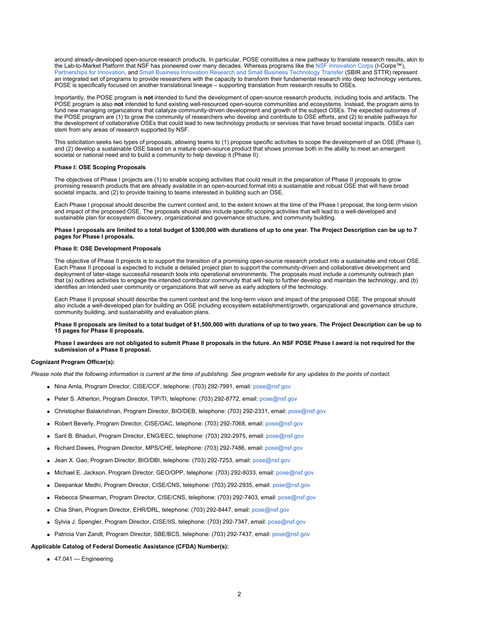around already-developed open-source research products. In particular, POSE constitutes a new pathway to translate research results, akin to the Lab-to-Market Platform that NSF has pioneered over many decades. Whereas programs like the [NSF Innovation Corps \(](https://beta.nsf.gov/funding/opportunities/innovation-corps-teams-program)I-Corps™), [Partnerships for Innovation](https://beta.nsf.gov/funding/opportunities/partnerships-innovation-pfi-0), and [Small Business Innovation Research and Small Business Technology Transfer](https://seedfund.nsf.gov/) (SBIR and STTR) represent an integrated set of programs to provide researchers with the capacity to transform their fundamental research into deep technology ventures, POSE is specifically focused on another translational lineage – supporting translation from research results to OSEs.

Importantly, the POSE program is **not** intended to fund the development of open-source research products, including tools and artifacts. The POSE program is also **not** intended to fund existing well-resourced open-source communities and ecosystems. Instead, the program aims to fund new managing organizations that catalyze community-driven development and growth of the subject OSEs. The expected outcomes of the POSE program are (1) to grow the community of researchers who develop and contribute to OSE efforts, and (2) to enable pathways for the development of collaborative OSEs that could lead to new technology products or services that have broad societal impacts. OSEs can stem from any areas of research supported by NSF.

This solicitation seeks two types of proposals, allowing teams to (1) propose specific activities to scope the development of an OSE (Phase I), and (2) develop a sustainable OSE based on a mature open-source product that shows promise both in the ability to meet an emergent societal or national need and to build a community to help develop it (Phase II).

#### **Phase I: OSE Scoping Proposals**

The objectives of Phase I projects are (1) to enable scoping activities that could result in the preparation of Phase II proposals to grow promising research products that are already available in an open-sourced format into a sustainable and robust OSE that will have broad societal impacts, and (2) to provide training to teams interested in building such an OSE.

Each Phase I proposal should describe the current context and, to the extent known at the time of the Phase I proposal, the long-term vision and impact of the proposed OSE. The proposals should also include specific scoping activities that will lead to a well-developed and sustainable plan for ecosystem discovery, organizational and governance structure, and community building.

**Phase I proposals are limited to a total budget of \$300,000 with durations of up to one year. The Project Description can be up to 7 pages for Phase I proposals.**

### **Phase II: OSE Development Proposals**

The objective of Phase II projects is to support the transition of a promising open-source research product into a sustainable and robust OSE. Each Phase II proposal is expected to include a detailed project plan to support the community-driven and collaborative development and deployment of later-stage successful research tools into operational environments. The proposals must include a community outreach plan that (a) outlines activities to engage the intended contributor community that will help to further develop and maintain the technology, and (b) identifies an intended user community or organizations that will serve as early adopters of the technology.

Each Phase II proposal should describe the current context and the long-term vision and impact of the proposed OSE. The proposal should also include a well-developed plan for building an OSE including ecosystem establishment/growth, organizational and governance structure, community building, and sustainability and evaluation plans.

**Phase II proposals are limited to a total budget of \$1,500,000 with durations of up to two years. The Project Description can be up to 15 pages for Phase II proposals.**

#### **Phase I awardees are not obligated to submit Phase II proposals in the future. An NSF POSE Phase I award is not required for the submission of a Phase II proposal.**

#### **Cognizant Program Officer(s):**

*Please note that the following information is current at the time of publishing. See program website for any updates to the points of contact.*

- Nina Amla, Program Director, CISE/CCF, telephone: (703) 292-7991, email: [pose@nsf.gov](mailto:pose@nsf.gov)
- Peter S. Atherton, Program Director, TIP/TI, telephone: (703) 292-8772, email: [pose@nsf.gov](mailto:pose@nsf.gov)
- Christopher Balakrishnan, Program Director, BIO/DEB, telephone: (703) 292-2331, email: [pose@nsf.gov](mailto:pose@nsf.gov)
- Robert Beverly, Program Director, CISE/OAC, telephone: (703) 292-7068, email: [pose@nsf.gov](mailto:pose@nsf.gov)
- Sarit B. Bhaduri, Program Director, ENG/EEC, telephone: (703) 292-2975, email: [pose@nsf.gov](mailto:pose@nsf.gov)
- Richard Dawes, Program Director, MPS/CHE, telephone: (703) 292-7486, email: [pose@nsf.gov](mailto:pose@nsf.gov)
- Jean X. Gao, Program Director, BIO/DBI, telephone: (703) 292-7253, email: [pose@nsf.gov](mailto:pose@nsf.gov)
- Michael E. Jackson, Program Director, GEO/OPP, telephone: (703) 292-8033, email: [pose@nsf.gov](mailto:pose@nsf.gov)
- Deepankar Medhi, Program Director, CISE/CNS, telephone: (703) 292-2935, email: [pose@nsf.gov](mailto:pose@nsf.gov)
- Rebecca Shearman, Program Director, CISE/CNS, telephone: (703) 292-7403, email: [pose@nsf.gov](mailto:pose@nsf.gov)
- Chia Shen, Program Director, EHR/DRL, telephone: (703) 292-8447, email: [pose@nsf.gov](mailto:pose@nsf.gov)
- Sylvia J. Spengler, Program Director, CISE/IIS, telephone: (703) 292-7347, email: [pose@nsf.gov](mailto:pose@nsf.gov)
- Patricia Van Zandt, Program Director, SBE/BCS, telephone: (703) 292-7437, email: [pose@nsf.gov](mailto:pose@nsf.gov)

### **Applicable Catalog of Federal Domestic Assistance (CFDA) Number(s):**

47.041 --- Engineering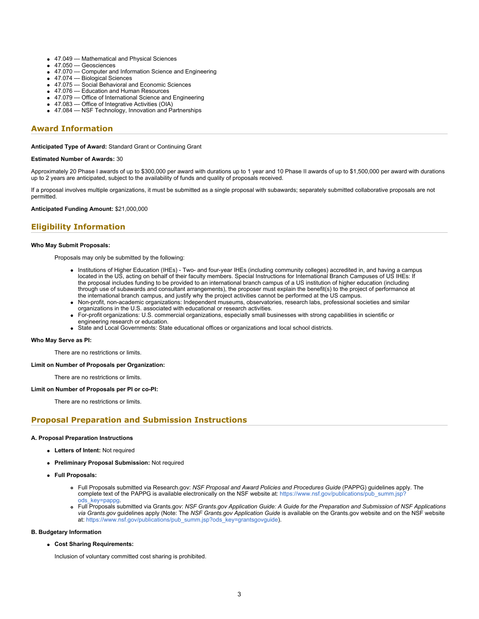- 47.049 --- Mathematical and Physical Sciences
- $\bullet$  47.050 --- Geosciences
- 47.070 --- Computer and Information Science and Engineering
- 47.074 --- Biological Sciences
- 47.075 --- Social Behavioral and Economic Sciences
- 47.076 --- Education and Human Resources
- 47.079 --- Office of International Science and Engineering
- 47.083 --- Office of Integrative Activities (OIA)
- 47.084 --- NSF Technology, Innovation and Partnerships

## **Award Information**

**Anticipated Type of Award:** Standard Grant or Continuing Grant

#### **Estimated Number of Awards:** 30

Approximately 20 Phase I awards of up to \$300,000 per award with durations up to 1 year and 10 Phase II awards of up to \$1,500,000 per award with durations up to 2 years are anticipated, subject to the availability of funds and quality of proposals received.

If a proposal involves multiple organizations, it must be submitted as a single proposal with subawards; separately submitted collaborative proposals are not permitted.

**Anticipated Funding Amount:** \$21,000,000

## **Eligibility Information**

#### **Who May Submit Proposals:**

Proposals may only be submitted by the following:

- Institutions of Higher Education (IHEs) Two- and four-year IHEs (including community colleges) accredited in, and having a campus located in the US, acting on behalf of their faculty members. Special Instructions for International Branch Campuses of US IHEs: If the proposal includes funding to be provided to an international branch campus of a US institution of higher education (including through use of subawards and consultant arrangements), the proposer must explain the benefit(s) to the project of performance at the international branch campus, and justify why the project activities cannot be performed at the US campus.
- Non-profit, non-academic organizations: Independent museums, observatories, research labs, professional societies and similar organizations in the U.S. associated with educational or research activities.
- For-profit organizations: U.S. commercial organizations, especially small businesses with strong capabilities in scientific or engineering research or education.
- State and Local Governments: State educational offices or organizations and local school districts.

#### **Who May Serve as PI:**

There are no restrictions or limits.

#### **Limit on Number of Proposals per Organization:**

There are no restrictions or limits.

#### **Limit on Number of Proposals per PI or co-PI:**

There are no restrictions or limits.

### **Proposal Preparation and Submission Instructions**

#### **A. Proposal Preparation Instructions**

- **Letters of Intent:** Not required
- **Preliminary Proposal Submission:** Not required
- **Full Proposals:**
	- Full Proposals submitted via Research.gov: *NSF Proposal and Award Policies and Procedures Guide* (PAPPG) guidelines apply. The complete text of the PAPPG is available electronically on the NSF website at: [https://www.nsf.gov/publications/pub\\_summ.jsp?](https://www.nsf.gov/publications/pub_summ.jsp?ods_key=pappg) [ods\\_key=pappg.](https://www.nsf.gov/publications/pub_summ.jsp?ods_key=pappg)
	- Full Proposals submitted via Grants.gov: *NSF Grants.gov Application Guide: A Guide for the Preparation and Submission of NSF Applications via Grants.gov* guidelines apply (Note: The *NSF Grants.gov Application Guide* is available on the Grants.gov website and on the NSF website at: [https://www.nsf.gov/publications/pub\\_summ.jsp?ods\\_key=grantsgovguide](https://www.nsf.gov/publications/pub_summ.jsp?ods_key=grantsgovguide)).

#### **B. Budgetary Information**

**Cost Sharing Requirements:**

Inclusion of voluntary committed cost sharing is prohibited.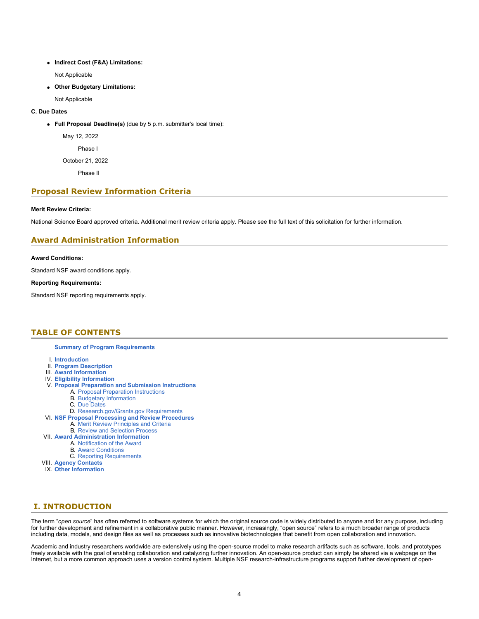**Indirect Cost (F&A) Limitations:**

Not Applicable

**Other Budgetary Limitations:**

Not Applicable

### **C. Due Dates**

**Full Proposal Deadline(s)** (due by 5 p.m. submitter's local time):

May 12, 2022

Phase I

October 21, 2022

Phase II

## **Proposal Review Information Criteria**

### **Merit Review Criteria:**

National Science Board approved criteria. Additional merit review criteria apply. Please see the full text of this solicitation for further information.

## **Award Administration Information**

### **Award Conditions:**

Standard NSF award conditions apply.

### **Reporting Requirements:**

Standard NSF reporting requirements apply.

## <span id="page-3-0"></span>**TABLE OF CONTENTS**

**[Summary of Program Requirements](#page-0-0)**

- I. **[Introduction](#page-3-1)**
- II. **[Program Description](#page-4-0)**
- III. **[Award Information](#page-6-0)**
- IV. **[Eligibility Information](#page-6-1)**
- V. **[Proposal Preparation and Submission Instructions](#page-6-2)**
	- A. [Proposal Preparation Instructions](#page-6-2)
	- B. [Budgetary Information](#page-8-0)
	- C. [Due Dates](#page-8-1)
- D. [Research.gov/Grants.gov Requirements](#page-8-2)
- VI. **[NSF Proposal Processing and Review Procedures](#page-9-0)** A. [Merit Review Principles and Criteria](#page-9-1)
	- B. [Review and Selection Process](#page-10-0)
- VII. **[Award Administration Information](#page-11-0)**
	- A. [Notification of the Award](#page-11-1)
		- B. [Award Conditions](#page-11-2)
		- C. [Reporting Requirements](#page-11-3)
		-
- VIII. **[Agency Contacts](#page-12-0)** IX. **[Other Information](#page-12-1)**

## <span id="page-3-1"></span>**I. INTRODUCTION**

The term "*open source*" has often referred to software systems for which the original source code is widely distributed to anyone and for any purpose, including for further development and refinement in a collaborative public manner. However, increasingly, "open source" refers to a much broader range of products including data, models, and design files as well as processes such as innovative biotechnologies that benefit from open collaboration and innovation.

Academic and industry researchers worldwide are extensively using the open-source model to make research artifacts such as software, tools, and prototypes freely available with the goal of enabling collaboration and catalyzing further innovation. An open-source product can simply be shared via a webpage on the Internet, but a more common approach uses a version control system. Multiple NSF research-infrastructure programs support further development of open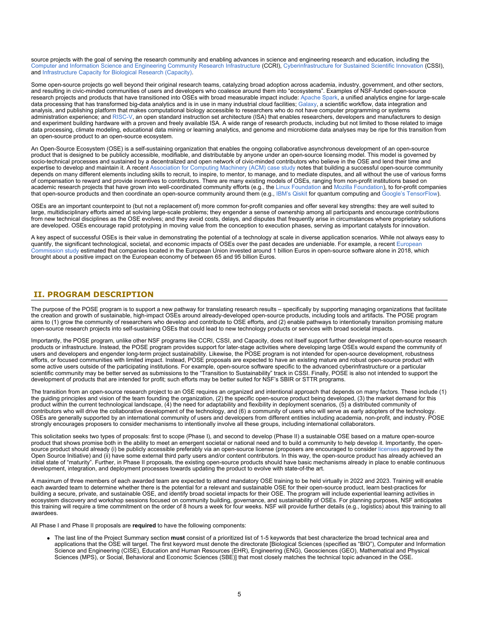source projects with the goal of serving the research community and enabling advances in science and engineering research and education, including the [Computer and Information Science and Engineering Community Research Infrastructure \(](https://beta.nsf.gov/funding/opportunities/cise-community-research-infrastructure-ccri)CCRI), [Cyberinfrastructure for Sustained Scientific Innovation](https://beta.nsf.gov/funding/opportunities/cyberinfrastructure-sustained-scientific-innovation-cssi) (CSSI), and [Infrastructure Capacity for Biological Research \(Capacity\)](https://beta.nsf.gov/funding/opportunities/infrastructure-capacity-biological-research-capacity).

Some open-source projects go well beyond their original research teams, catalyzing broad adoption across academia, industry, government, and other sectors, and resulting in civic-minded communities of users and developers who coalesce around them into "ecosystems". Examples of NSF-funded open-source research projects and products that have transitioned into OSEs with broad measurable impact include: [Apache Spark](https://www.nsf.gov/cgi-bin/goodbye?https://en.wikipedia.org/wiki/Apache_Spark), a unified analytics engine for large-scale data processing that has transformed big-data analytics and is in use in many industrial cloud facilities; [Galaxy](https://en.wikipedia.org/wiki/Galaxy_(computational_biology)), a scientific workflow, data integration and analysis, and publishing platform that makes computational biology accessible to researchers who do not have computer programming or systems administration experience; and [RISC-V](https://www.nsf.gov/cgi-bin/goodbye?https://en.wikipedia.org/wiki/RISC-V), an open standard instruction set architecture (ISA) that enables researchers, developers and manufacturers to design and experiment building hardware with a proven and freely available ISA. A wide range of research products, including but not limited to those related to image data processing, climate modeling, educational data mining or learning analytics, and genome and microbiome data analyses may be ripe for this transition from an open-source product to an open-source ecosystem.

An Open-Source Ecosystem (OSE) is a self-sustaining organization that enables the ongoing collaborative asynchronous development of an open-source product that is designed to be publicly accessible, modifiable, and distributable by anyone under an open-source licensing model. This model is governed by socio-technical processes and sustained by a decentralized and open network of civic-minded contributors who believe in the OSE and lend their time and expertise to develop and maintain it. A recent [Association for Computing Machinery \(ACM\) case study](https://www.nsf.gov/cgi-bin/goodbye?https://queue.acm.org/detail.cfm?id=3501361) notes that building a successful open-source community depends on many different elements including skills to recruit, to inspire, to mentor, to manage, and to mediate disputes, and all without the use of various forms of compensation to reward and provide incentives to contributors. There are many existing models of OSEs, ranging from non-profit institutions based on academic research projects that have grown into well-coordinated community efforts (e.g., the [Linux Foundation](https://www.nsf.gov/cgi-bin/goodbye?https://linuxfoundation.org/) and [Mozilla Foundation](https://www.nsf.gov/cgi-bin/goodbye?https://foundation.mozilla.org/en/)), to for-profit companies that open-source products and then coordinate an open-source community around them (e.g., [IBM's Qiskit](https://www.nsf.gov/cgi-bin/goodbye?https://qiskit.org/) for quantum computing and [Google's TensorFlow](https://www.nsf.gov/cgi-bin/goodbye?https://www.tensorflow.org/)).

OSEs are an important counterpoint to (but not a replacement of) more common for-profit companies and offer several key strengths: they are well suited to large, multidisciplinary efforts aimed at solving large-scale problems; they engender a sense of ownership among all participants and encourage contributions from new technical disciplines as the OSE evolves; and they avoid costs, delays, and disputes that frequently arise in circumstances where proprietary solutions are developed. OSEs encourage rapid prototyping in moving value from the conception to execution phases, serving as important catalysts for innovation.

A key aspect of successful OSEs is their value in demonstrating the potential of a technology at scale in diverse application scenarios. While not always easy to quantify, the significant technological, societal, and economic impacts of OSEs over the past decades are undeniable. For example, a recent [European](https://www.nsf.gov/cgi-bin/goodbye?https://digital-strategy.ec.europa.eu/en/library/study-about-impact-open-source-software-and-hardware-technological-independence-competitiveness-and) [Commission study](https://www.nsf.gov/cgi-bin/goodbye?https://digital-strategy.ec.europa.eu/en/library/study-about-impact-open-source-software-and-hardware-technological-independence-competitiveness-and) estimated that companies located in the European Union invested around 1 billion Euros in open-source software alone in 2018, which brought about a positive impact on the European economy of between 65 and 95 billion Euros.

## <span id="page-4-0"></span>**II. PROGRAM DESCRIPTION**

The purpose of the POSE program is to support a new pathway for translating research results – specifically by supporting managing organizations that facilitate the creation and growth of sustainable, high-impact OSEs around already-developed open-source products, including tools and artifacts. The POSE program aims to (1) grow the community of researchers who develop and contribute to OSE efforts, and (2) enable pathways to intentionally transition promising mature open-source research projects into self-sustaining OSEs that could lead to new technology products or services with broad societal impacts.

Importantly, the POSE program, unlike other NSF programs like CCRI, CSSI, and Capacity, does not itself support further development of open-source research products or infrastructure. Instead, the POSE program provides support for later-stage activities where developing large OSEs would expand the community of users and developers and engender long-term project sustainability. Likewise, the POSE program is not intended for open-source development, robustness efforts, or focused communities with limited impact. Instead, POSE proposals are expected to have an existing mature and robust open-source product with some active users outside of the participating institutions. For example, open-source software specific to the advanced cyberinfrastructure or a particular scientific community may be better served as submissions to the "Transition to Sustainability" track in CSSI. Finally, POSE is also not intended to support the development of products that are intended for profit; such efforts may be better suited for NSF's SBIR or STTR programs.

The transition from an open-source research project to an OSE requires an organized and intentional approach that depends on many factors. These include (1) the guiding principles and vision of the team founding the organization, (2) the specific open-source product being developed, (3) the market demand for this product within the current technological landscape, (4) the need for adaptability and flexibility in deployment scenarios, (5) a distributed community of contributors who will drive the collaborative development of the technology, and (6) a community of users who will serve as early adopters of the technology. OSEs are generally supported by an international community of users and developers from different entities including academia, non-profit, and industry. POSE strongly encourages proposers to consider mechanisms to intentionally involve all these groups, including international collaborators.

This solicitation seeks two types of proposals: first to scope (Phase I), and second to develop (Phase II) a sustainable OSE based on a mature open-source product that shows promise both in the ability to meet an emergent societal or national need and to build a community to help develop it. Importantly, the opensource product should already (i) be publicly accessible preferably via an open-source license (proposers are encouraged to consider [licenses](https://www.nsf.gov/cgi-bin/goodbye?https://opensource.org/licenses) approved by the Open Source Initiative) and (ii) have some external third party users and/or content contributors. In this way, the open-source product has already achieved an initial state of "maturity". Further, in Phase II proposals, the existing open-source products should have basic mechanisms already in place to enable continuous development, integration, and deployment processes towards updating the product to evolve with state-of-the art.

A maximum of three members of each awarded team are expected to attend mandatory OSE training to be held virtually in 2022 and 2023. Training will enable each awarded team to determine whether there is the potential for a relevant and sustainable OSE for their open-source product, learn best-practices for building a secure, private, and sustainable OSE, and identify broad societal impacts for their OSE. The program will include experiential learning activities in ecosystem discovery and workshop sessions focused on community building, governance, and sustainability of OSEs. For planning purposes, NSF anticipates this training will require a time commitment on the order of 8 hours a week for four weeks. NSF will provide further details (e.g., logistics) about this training to all awardees.

All Phase I and Phase II proposals are **required** to have the following components:

The last line of the Project Summary section **must** consist of a prioritized list of 1-5 keywords that best characterize the broad technical area and applications that the OSE will target. The first keyword must denote the directorate [Biological Sciences (specified as "BIO"), Computer and Information Science and Engineering (CISE), Education and Human Resources (EHR), Engineering (ENG), Geosciences (GEO), Mathematical and Physical Sciences (MPS), or Social, Behavioral and Economic Sciences (SBE)] that most closely matches the technical topic advanced in the OSE.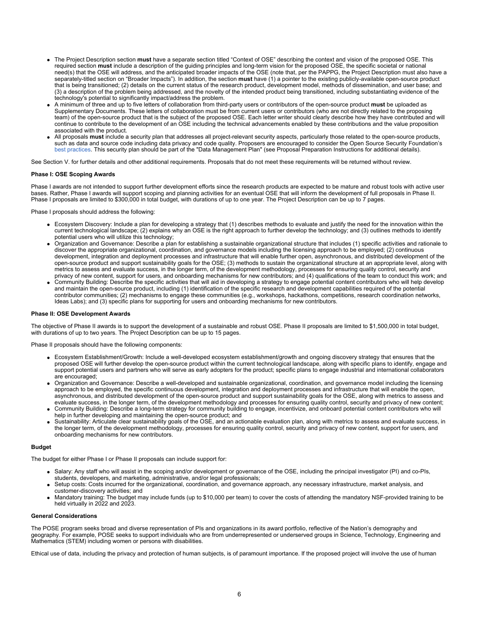- The Project Description section **must** have a separate section titled "Context of OSE" describing the context and vision of the proposed OSE. This required section **must** include a description of the guiding principles and long-term vision for the proposed OSE, the specific societal or national need(s) that the OSE will address, and the anticipated broader impacts of the OSE (note that, per the PAPPG, the Project Description must also have a separately-titled section on "Broader Impacts"). In addition, the section **must** have (1) a pointer to the existing publicly-available open-source product that is being transitioned; (2) details on the current status of the research product, development model, methods of dissemination, and user base; and (3) a description of the problem being addressed, and the novelty of the intended product being transitioned, including substantiating evidence of the technology's potential to significantly impact/address the problem.
- A minimum of three and up to five letters of collaboration from third-party users or contributors of the open-source product **must** be uploaded as Supplementary Documents. These letters of collaboration must be from current users or contributors (who are not directly related to the proposing team) of the open-source product that is the subject of the proposed OSE. Each letter writer should clearly describe how they have contributed and will continue to contribute to the development of an OSE including the technical advancements enabled by these contributions and the value proposition associated with the product.
- All proposals **must** include a security plan that addresses all project-relevant security aspects, particularly those related to the open-source products, such as data and source code including data privacy and code quality. Proposers are encouraged to consider the Open Source Security Foundation's [best practices](https://www.nsf.gov/cgi-bin/goodbye?https://bestpractices.coreinfrastructure.org/en/criteria). This security plan should be part of the "Data Management Plan" (see Proposal Preparation Instructions for additional details).

See Section V. for further details and other additional requirements. Proposals that do not meet these requirements will be returned without review.

#### **Phase I: OSE Scoping Awards**

Phase I awards are not intended to support further development efforts since the research products are expected to be mature and robust tools with active user bases. Rather, Phase I awards will support scoping and planning activities for an eventual OSE that will inform the development of full proposals in Phase II. Phase I proposals are limited to \$300,000 in total budget, with durations of up to one year. The Project Description can be up to 7 pages.

Phase I proposals should address the following:

- Ecosystem Discovery: Include a plan for developing a strategy that (1) describes methods to evaluate and justify the need for the innovation within the current technological landscape; (2) explains why an OSE is the right approach to further develop the technology; and (3) outlines methods to identify potential users who will utilize this technology;
- Organization and Governance: Describe a plan for establishing a sustainable organizational structure that includes (1) specific activities and rationale to discover the appropriate organizational, coordination, and governance models including the licensing approach to be employed; (2) continuous development, integration and deployment processes and infrastructure that will enable further open, asynchronous, and distributed development of the open-source product and support sustainability goals for the OSE; (3) methods to sustain the organizational structure at an appropriate level, along with metrics to assess and evaluate success, in the longer term, of the development methodology, processes for ensuring quality control, security and privacy of new content, support for users, and onboarding mechanisms for new contributors; and (4) qualifications of the team to conduct this work; and
- Community Building: Describe the specific activities that will aid in developing a strategy to engage potential content contributors who will help develop and maintain the open-source product, including (1) identification of the specific research and development capabilities required of the potential contributor communities; (2) mechanisms to engage these communities (e.g., workshops, hackathons, competitions, research coordination networks, Ideas Labs); and (3) specific plans for supporting for users and onboarding mechanisms for new contributors.

#### **Phase II: OSE Development Awards**

The objective of Phase II awards is to support the development of a sustainable and robust OSE. Phase II proposals are limited to \$1,500,000 in total budget, with durations of up to two years. The Project Description can be up to 15 pages.

Phase II proposals should have the following components:

- Ecosystem Establishment/Growth: Include a well-developed ecosystem establishment/growth and ongoing discovery strategy that ensures that the proposed OSE will further develop the open-source product within the current technological landscape, along with specific plans to identify, engage and support potential users and partners who will serve as early adopters for the product; specific plans to engage industrial and international collaborators are encouraged:
- Organization and Governance: Describe a well-developed and sustainable organizational, coordination, and governance model including the licensing approach to be employed, the specific continuous development, integration and deployment processes and infrastructure that will enable the open, asynchronous, and distributed development of the open-source product and support sustainability goals for the OSE, along with metrics to assess and evaluate success, in the longer term, of the development methodology and processes for ensuring quality control, security and privacy of new content;
- Community Building: Describe a long-term strategy for community building to engage, incentivize, and onboard potential content contributors who will help in further developing and maintaining the open-source product; and
- Sustainability: Articulate clear sustainability goals of the OSE, and an actionable evaluation plan, along with metrics to assess and evaluate success, in the longer term, of the development methodology, processes for ensuring quality control, security and privacy of new content, support for users, and onboarding mechanisms for new contributors.

#### **Budget**

The budget for either Phase I or Phase II proposals can include support for:

- Salary: Any staff who will assist in the scoping and/or development or governance of the OSE, including the principal investigator (PI) and co-PIs, students, developers, and marketing, administrative, and/or legal professionals;
- Setup costs: Costs incurred for the organizational, coordination, and governance approach, any necessary infrastructure, market analysis, and customer-discovery activities; and
- Mandatory training: The budget may include funds (up to \$10,000 per team) to cover the costs of attending the mandatory NSF-provided training to be held virtually in 2022 and 2023.

#### **General Considerations**

The POSE program seeks broad and diverse representation of PIs and organizations in its award portfolio, reflective of the Nation's demography and geography. For example, POSE seeks to support individuals who are from underrepresented or underserved groups in Science, Technology, Engineering and Mathematics (STEM) including women or persons with disabilities.

Ethical use of data, including the privacy and protection of human subjects, is of paramount importance. If the proposed project will involve the use of human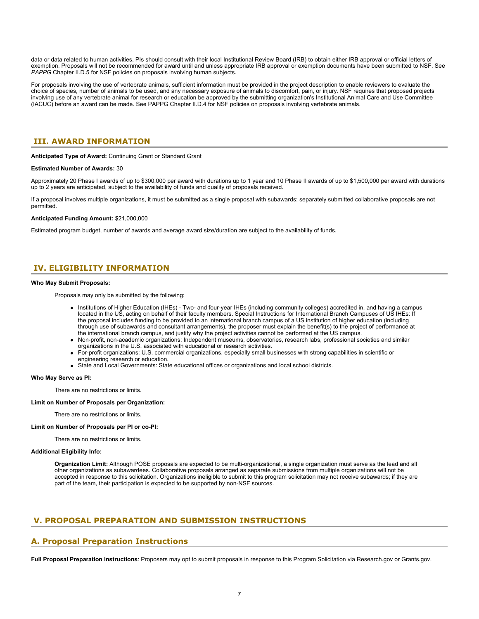data or data related to human activities, PIs should consult with their local Institutional Review Board (IRB) to obtain either IRB approval or official letters of exemption. Proposals will not be recommended for award until and unless appropriate IRB approval or exemption documents have been submitted to NSF. See *PAPPG* Chapter II.D.5 for NSF policies on proposals involving human subjects.

For proposals involving the use of vertebrate animals, sufficient information must be provided in the project description to enable reviewers to evaluate the choice of species, number of animals to be used, and any necessary exposure of animals to discomfort, pain, or injury. NSF requires that proposed projects involving use of any vertebrate animal for research or education be approved by the submitting organization's Institutional Animal Care and Use Committee (IACUC) before an award can be made. See PAPPG Chapter II.D.4 for NSF policies on proposals involving vertebrate animals.

## <span id="page-6-0"></span>**III. AWARD INFORMATION**

**Anticipated Type of Award:** Continuing Grant or Standard Grant

#### **Estimated Number of Awards:** 30

Approximately 20 Phase I awards of up to \$300,000 per award with durations up to 1 year and 10 Phase II awards of up to \$1,500,000 per award with durations up to 2 years are anticipated, subject to the availability of funds and quality of proposals received.

If a proposal involves multiple organizations, it must be submitted as a single proposal with subawards; separately submitted collaborative proposals are not permitted.

#### **Anticipated Funding Amount:** \$21,000,000

Estimated program budget, number of awards and average award size/duration are subject to the availability of funds.

## <span id="page-6-1"></span>**IV. ELIGIBILITY INFORMATION**

### **Who May Submit Proposals:**

Proposals may only be submitted by the following:

- Institutions of Higher Education (IHEs) Two- and four-year IHEs (including community colleges) accredited in, and having a campus located in the US, acting on behalf of their faculty members. Special Instructions for International Branch Campuses of US IHEs: If the proposal includes funding to be provided to an international branch campus of a US institution of higher education (including through use of subawards and consultant arrangements), the proposer must explain the benefit(s) to the project of performance at the international branch campus, and justify why the project activities cannot be performed at the US campus.
- Non-profit, non-academic organizations: Independent museums, observatories, research labs, professional societies and similar organizations in the U.S. associated with educational or research activities.
- For-profit organizations: U.S. commercial organizations, especially small businesses with strong capabilities in scientific or engineering research or education.
- State and Local Governments: State educational offices or organizations and local school districts.

#### **Who May Serve as PI:**

There are no restrictions or limits.

#### **Limit on Number of Proposals per Organization:**

There are no restrictions or limits.

#### **Limit on Number of Proposals per PI or co-PI:**

There are no restrictions or limits.

#### **Additional Eligibility Info:**

**Organization Limit:** Although POSE proposals are expected to be multi-organizational, a single organization must serve as the lead and all other organizations as subawardees. Collaborative proposals arranged as separate submissions from multiple organizations will not be accepted in response to this solicitation. Organizations ineligible to submit to this program solicitation may not receive subawards; if they are part of the team, their participation is expected to be supported by non-NSF sources.

## <span id="page-6-2"></span>**V. PROPOSAL PREPARATION AND SUBMISSION INSTRUCTIONS**

## **A. Proposal Preparation Instructions**

**Full Proposal Preparation Instructions**: Proposers may opt to submit proposals in response to this Program Solicitation via Research.gov or Grants.gov.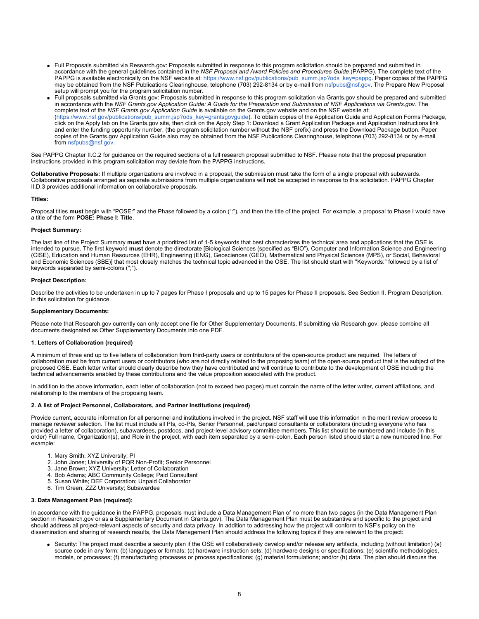- Full Proposals submitted via Research.gov: Proposals submitted in response to this program solicitation should be prepared and submitted in accordance with the general guidelines contained in the *NSF Proposal and Award Policies and Procedures Guide* (PAPPG). The complete text of the PAPPG is available electronically on the NSF website at: [https://www.nsf.gov/publications/pub\\_summ.jsp?ods\\_key=pappg](https://www.nsf.gov/publications/pub_summ.jsp?ods_key=pappg). Paper copies of the PAPPG may be obtained from the NSF Publications Clearinghouse, telephone (703) 292-8134 or by e-mail from [nsfpubs@nsf.gov.](mailto:nsfpubs@nsf.gov) The Prepare New Proposal setup will prompt you for the program solicitation number.
- Full proposals submitted via Grants.gov: Proposals submitted in response to this program solicitation via Grants.gov should be prepared and submitted in accordance with the *NSF Grants.gov Application Guide: A Guide for the Preparation and Submission of NSF Applications via Grants.gov*. The complete text of the *NSF Grants.gov Application Guide* is available on the Grants.gov website and on the NSF website at: [\(https://www.nsf.gov/publications/pub\\_summ.jsp?ods\\_key=grantsgovguide](https://www.nsf.gov/publications/pub_summ.jsp?ods_key=grantsgovguide)). To obtain copies of the Application Guide and Application Forms Package, click on the Apply tab on the Grants.gov site, then click on the Apply Step 1: Download a Grant Application Package and Application Instructions link and enter the funding opportunity number, (the program solicitation number without the NSF prefix) and press the Download Package button. Paper copies of the Grants.gov Application Guide also may be obtained from the NSF Publications Clearinghouse, telephone (703) 292-8134 or by e-mail from [nsfpubs@nsf.gov](mailto:nsfpubs@nsf.gov).

See PAPPG Chapter II.C.2 for guidance on the required sections of a full research proposal submitted to NSF. Please note that the proposal preparation instructions provided in this program solicitation may deviate from the PAPPG instructions.

**Collaborative Proposals:** If multiple organizations are involved in a proposal, the submission must take the form of a single proposal with subawards. Collaborative proposals arranged as separate submissions from multiple organizations will **not** be accepted in response to this solicitation. PAPPG Chapter II.D.3 provides additional information on collaborative proposals.

### **Titles:**

Proposal titles must begin with "POSE:" and the Phase followed by a colon (":"), and then the title of the project. For example, a proposal to Phase I would have a title of the form **POSE: Phase I: Title**.

### **Project Summary:**

The last line of the Project Summary **must** have a prioritized list of 1-5 keywords that best characterizes the technical area and applications that the OSE is intended to pursue. The first keyword **must** denote the directorate [Biological Sciences (specified as "BIO"), Computer and Information Science and Engineering (CISE), Education and Human Resources (EHR), Engineering (ENG), Geosciences (GEO), Mathematical and Physical Sciences (MPS), or Social, Behavioral and Economic Sciences (SBE)] that most closely matches the technical topic advanced in the OSE. The list should start with "Keywords:" followed by a list of keywords separated by semi-colons (";").

### **Project Description:**

Describe the activities to be undertaken in up to 7 pages for Phase I proposals and up to 15 pages for Phase II proposals. See Section II. Program Description, in this solicitation for guidance.

#### **Supplementary Documents:**

Please note that Research.gov currently can only accept one file for Other Supplementary Documents. If submitting via Research.gov, please combine all documents designated as Other Supplementary Documents into one PDF.

### **1. Letters of Collaboration (required)**

A minimum of three and up to five letters of collaboration from third-party users or contributors of the open-source product are required. The letters of collaboration must be from current users or contributors (who are not directly related to the proposing team) of the open-source product that is the subject of the proposed OSE. Each letter writer should clearly describe how they have contributed and will continue to contribute to the development of OSE including the technical advancements enabled by these contributions and the value proposition associated with the product.

In addition to the above information, each letter of collaboration (not to exceed two pages) must contain the name of the letter writer, current affiliations, and relationship to the members of the proposing team.

### **2. A list of Project Personnel, Collaborators, and Partner Institution***s* **(required)**

Provide current, accurate information for all personnel and institutions involved in the project. NSF staff will use this information in the merit review process to manage reviewer selection. The list must include all PIs, co-PIs, Senior Personnel, paid/unpaid consultants or collaborators (including everyone who has provided a letter of collaboration), subawardees, postdocs, and project-level advisory committee members. This list should be numbered and include (in this order) Full name, Organization(s), and Role in the project, with each item separated by a semi-colon. Each person listed should start a new numbered line. For example:

- 1. Mary Smith; XYZ University; PI
- 2. John Jones; University of PQR Non-Profit; Senior Personnel
- 3. Jane Brown; XYZ University; Letter of Collaboration
- 4. Bob Adams; ABC Community College; Paid Consultant
- 5. Susan White; DEF Corporation; Unpaid Collaborator
- 6. Tim Green; ZZZ University; Subawardee

### **3. Data Management Plan (required):**

In accordance with the guidance in the PAPPG, proposals must include a Data Management Plan of no more than two pages (in the Data Management Plan section in Research.gov or as a Supplementary Document in Grants.gov). The Data Management Plan must be substantive and specific to the project and should address all project-relevant aspects of security and data privacy. In addition to addressing how the project will conform to NSF's policy on the dissemination and sharing of research results, the Data Management Plan should address the following topics if they are relevant to the project:

Security: The project must describe a security plan if the OSE will collaboratively develop and/or release any artifacts, including (without limitation) (a) source code in any form; (b) languages or formats; (c) hardware instruction sets; (d) hardware designs or specifications; (e) scientific methodologies, models, or processes; (f) manufacturing processes or process specifications; (g) material formulations; and/or (h) data. The plan should discuss the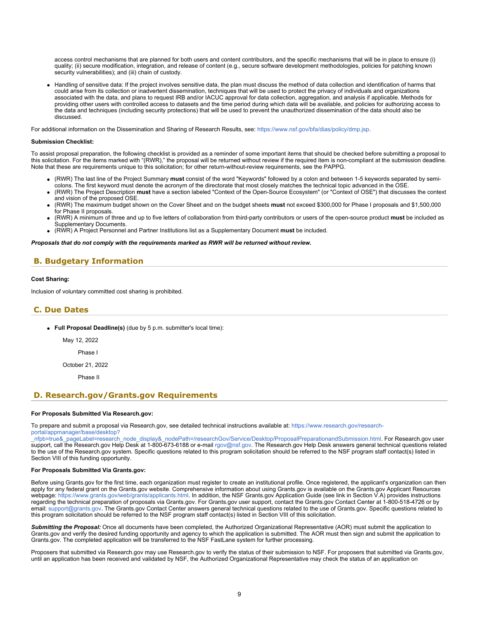access control mechanisms that are planned for both users and content contributors, and the specific mechanisms that will be in place to ensure (i) quality; (ii) secure modification, integration, and release of content (e.g., secure software development methodologies, policies for patching known security vulnerabilities); and (iii) chain of custody.

Handling of sensitive data: If the project involves sensitive data, the plan must discuss the method of data collection and identification of harms that could arise from its collection or inadvertent dissemination, techniques that will be used to protect the privacy of individuals and organizations associated with the data, and plans to request IRB and/or IACUC approval for data collection, aggregation, and analysis if applicable. Methods for providing other users with controlled access to datasets and the time period during which data will be available, and policies for authorizing access to the data and techniques (including security protections) that will be used to prevent the unauthorized dissemination of the data should also be discussed.

For additional information on the Dissemination and Sharing of Research Results, see:<https://www.nsf.gov/bfa/dias/policy/dmp.jsp>.

#### **Submission Checklist:**

To assist proposal preparation, the following checklist is provided as a reminder of some important items that should be checked before submitting a proposal to this solicitation. For the items marked with "(RWR)," the proposal will be returned without review if the required item is non-compliant at the submission deadline. Note that these are requirements unique to this solicitation; for other return-without-review requirements, see the PAPPG.

- (RWR) The last line of the Project Summary **must** consist of the word "Keywords" followed by a colon and between 1-5 keywords separated by semicolons. The first keyword must denote the acronym of the directorate that most closely matches the technical topic advanced in the OSE.
- (RWR) The Project Description **must** have a section labeled "Context of the Open-Source Ecosystem" (or "Context of OSE") that discusses the context and vision of the proposed OSE.
- (RWR) The maximum budget shown on the Cover Sheet and on the budget sheets **must** not exceed \$300,000 for Phase I proposals and \$1,500,000 for Phase II proposals.
- (RWR) A minimum of three and up to five letters of collaboration from third-party contributors or users of the open-source product **must** be included as Supplementary Documents.
- (RWR) A Project Personnel and Partner Institutions list as a Supplementary Document **must** be included.

*Proposals that do not comply with the requirements marked as RWR will be returned without review.*

## <span id="page-8-0"></span>**B. Budgetary Information**

#### **Cost Sharing:**

Inclusion of voluntary committed cost sharing is prohibited.

### <span id="page-8-1"></span>**C. Due Dates**

- **Full Proposal Deadline(s)** (due by 5 p.m. submitter's local time):
	- May 12, 2022
		- Phase I

October 21, 2022

Phase II

## <span id="page-8-2"></span>**D. Research.gov/Grants.gov Requirements**

#### **For Proposals Submitted Via Research.gov:**

To prepare and submit a proposal via Research.gov, see detailed technical instructions available at: [https://www.research.gov/research-](https://www.research.gov/research-portal/appmanager/base/desktop?_nfpb=true&_pageLabel=research_node_display&_nodePath=/researchGov/Service/Desktop/ProposalPreparationandSubmission.html)

[\\_nfpb=true&\\_pageLabel=research\\_node\\_display&\\_nodePath=/researchGov/Service/Desktop/ProposalPreparationandSubmission.html](https://www.research.gov/research-portal/appmanager/base/desktop?_nfpb=true&_pageLabel=research_node_display&_nodePath=/researchGov/Service/Desktop/ProposalPreparationandSubmission.html). For Research.gov user support, call the Research.gov Help Desk at 1-800-673-6188 or e-mail [rgov@nsf.gov](mailto:rgov@nsf.gov). The Research.gov Help Desk answers general technical questions related to the use of the Research.gov system. Specific questions related to this program solicitation should be referred to the NSF program staff contact(s) listed in Section VIII of this funding opportunity.

#### **For Proposals Submitted Via Grants.gov:**

[portal/appmanager/base/desktop?](https://www.research.gov/research-portal/appmanager/base/desktop?_nfpb=true&_pageLabel=research_node_display&_nodePath=/researchGov/Service/Desktop/ProposalPreparationandSubmission.html)

Before using Grants.gov for the first time, each organization must register to create an institutional profile. Once registered, the applicant's organization can then apply for any federal grant on the Grants.gov website. Comprehensive information about using Grants.gov is available on the Grants.gov Applicant Resources webpage:<https://www.grants.gov/web/grants/applicants.html>. In addition, the NSF Grants.gov Application Guide (see link in Section V.A) provides instructions regarding the technical preparation of proposals via Grants.gov. For Grants.gov user support, contact the Grants.gov Contact Center at 1-800-518-4726 or by email: [support@grants.gov.](mailto:support@grants.gov) The Grants.gov Contact Center answers general technical questions related to the use of Grants.gov. Specific questions related to this program solicitation should be referred to the NSF program staff contact(s) listed in Section VIII of this solicitation.

*Submitting the Proposal:* Once all documents have been completed, the Authorized Organizational Representative (AOR) must submit the application to Grants.gov and verify the desired funding opportunity and agency to which the application is submitted. The AOR must then sign and submit the application to Grants.gov. The completed application will be transferred to the NSF FastLane system for further processing.

Proposers that submitted via Research.gov may use Research.gov to verify the status of their submission to NSF. For proposers that submitted via Grants.gov, until an application has been received and validated by NSF, the Authorized Organizational Representative may check the status of an application on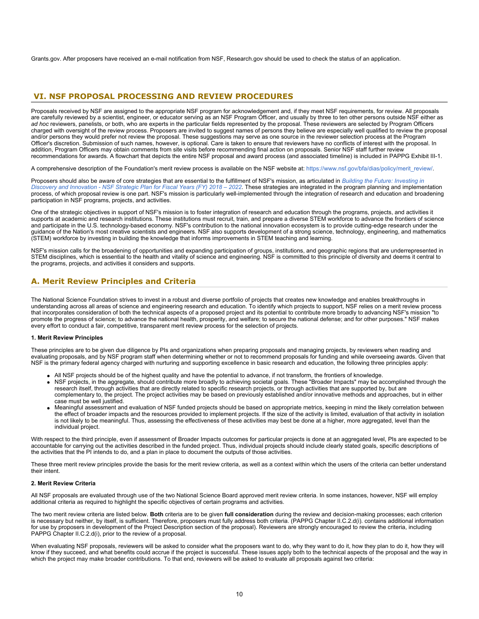Grants.gov. After proposers have received an e-mail notification from NSF, Research.gov should be used to check the status of an application.

## <span id="page-9-0"></span> **VI. NSF PROPOSAL PROCESSING AND REVIEW PROCEDURES**

Proposals received by NSF are assigned to the appropriate NSF program for acknowledgement and, if they meet NSF requirements, for review. All proposals are carefully reviewed by a scientist, engineer, or educator serving as an NSF Program Officer, and usually by three to ten other persons outside NSF either as *ad hoc* reviewers, panelists, or both, who are experts in the particular fields represented by the proposal. These reviewers are selected by Program Officers charged with oversight of the review process. Proposers are invited to suggest names of persons they believe are especially well qualified to review the proposal and/or persons they would prefer not review the proposal. These suggestions may serve as one source in the reviewer selection process at the Program Officer's discretion. Submission of such names, however, is optional. Care is taken to ensure that reviewers have no conflicts of interest with the proposal. In addition, Program Officers may obtain comments from site visits before recommending final action on proposals. Senior NSF staff further review recommendations for awards. A flowchart that depicts the entire NSF proposal and award process (and associated timeline) is included in PAPPG Exhibit III-1.

A comprehensive description of the Foundation's merit review process is available on the NSF website at: [https://www.nsf.gov/bfa/dias/policy/merit\\_review/](https://www.nsf.gov/bfa/dias/policy/merit_review/).

Proposers should also be aware of core strategies that are essential to the fulfillment of NSF's mission, as articulated in *[Building the Future: Investing in](https://www.nsf.gov/publications/pub_summ.jsp?ods_key=nsf18045) [Discovery and Innovation - NSF Strategic Plan for Fiscal Years \(FY\) 2018 – 2022](https://www.nsf.gov/publications/pub_summ.jsp?ods_key=nsf18045)*. These strategies are integrated in the program planning and implementation process, of which proposal review is one part. NSF's mission is particularly well-implemented through the integration of research and education and broadening participation in NSF programs, projects, and activities.

One of the strategic objectives in support of NSF's mission is to foster integration of research and education through the programs, projects, and activities it supports at academic and research institutions. These institutions must recruit, train, and prepare a diverse STEM workforce to advance the frontiers of science and participate in the U.S. technology-based economy. NSF's contribution to the national innovation ecosystem is to provide cutting-edge research under the guidance of the Nation's most creative scientists and engineers. NSF also supports development of a strong science, technology, engineering, and mathematics (STEM) workforce by investing in building the knowledge that informs improvements in STEM teaching and learning.

NSF's mission calls for the broadening of opportunities and expanding participation of groups, institutions, and geographic regions that are underrepresented in STEM disciplines, which is essential to the health and vitality of science and engineering. NSF is committed to this principle of diversity and deems it central to the programs, projects, and activities it considers and supports.

## <span id="page-9-1"></span>**A. Merit Review Principles and Criteria**

The National Science Foundation strives to invest in a robust and diverse portfolio of projects that creates new knowledge and enables breakthroughs in understanding across all areas of science and engineering research and education. To identify which projects to support, NSF relies on a merit review process that incorporates consideration of both the technical aspects of a proposed project and its potential to contribute more broadly to advancing NSF's mission "to promote the progress of science; to advance the national health, prosperity, and welfare; to secure the national defense; and for other purposes." NSF makes every effort to conduct a fair, competitive, transparent merit review process for the selection of projects.

### **1. Merit Review Principles**

These principles are to be given due diligence by PIs and organizations when preparing proposals and managing projects, by reviewers when reading and evaluating proposals, and by NSF program staff when determining whether or not to recommend proposals for funding and while overseeing awards. Given that NSF is the primary federal agency charged with nurturing and supporting excellence in basic research and education, the following three principles apply:

- All NSF projects should be of the highest quality and have the potential to advance, if not transform, the frontiers of knowledge.
- NSF projects, in the aggregate, should contribute more broadly to achieving societal goals. These "Broader Impacts" may be accomplished through the research itself, through activities that are directly related to specific research projects, or through activities that are supported by, but are complementary to, the project. The project activities may be based on previously established and/or innovative methods and approaches, but in either case must be well justified.
- Meaningful assessment and evaluation of NSF funded projects should be based on appropriate metrics, keeping in mind the likely correlation between the effect of broader impacts and the resources provided to implement projects. If the size of the activity is limited, evaluation of that activity in isolation is not likely to be meaningful. Thus, assessing the effectiveness of these activities may best be done at a higher, more aggregated, level than the individual project.

With respect to the third principle, even if assessment of Broader Impacts outcomes for particular projects is done at an aggregated level, PIs are expected to be accountable for carrying out the activities described in the funded project. Thus, individual projects should include clearly stated goals, specific descriptions of the activities that the PI intends to do, and a plan in place to document the outputs of those activities.

These three merit review principles provide the basis for the merit review criteria, as well as a context within which the users of the criteria can better understand their intent.

### **2. Merit Review Criteria**

All NSF proposals are evaluated through use of the two National Science Board approved merit review criteria. In some instances, however, NSF will employ additional criteria as required to highlight the specific objectives of certain programs and activities.

The two merit review criteria are listed below. **Both** criteria are to be given **full consideration** during the review and decision-making processes; each criterion is necessary but neither, by itself, is sufficient. Therefore, proposers must fully address both criteria. (PAPPG Chapter II.C.2.d(i). contains additional information for use by proposers in development of the Project Description section of the proposal). Reviewers are strongly encouraged to review the criteria, including PAPPG Chapter II.C.2.d(i), prior to the review of a proposal.

When evaluating NSF proposals, reviewers will be asked to consider what the proposers want to do, why they want to do it, how they plan to do it, how they will know if they succeed, and what benefits could accrue if the project is successful. These issues apply both to the technical aspects of the proposal and the way in which the project may make broader contributions. To that end, reviewers will be asked to evaluate all proposals against two criteria: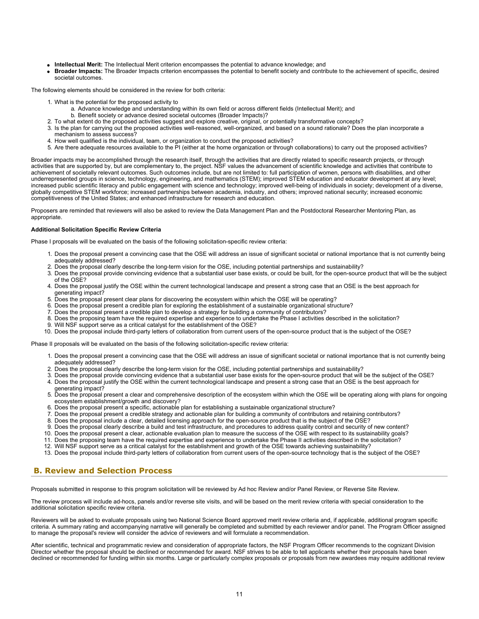- **Intellectual Merit:** The Intellectual Merit criterion encompasses the potential to advance knowledge; and
- **Broader Impacts:** The Broader Impacts criterion encompasses the potential to benefit society and contribute to the achievement of specific, desired societal outcomes.

The following elements should be considered in the review for both criteria:

- 1. What is the potential for the proposed activity to
	- a. Advance knowledge and understanding within its own field or across different fields (Intellectual Merit); and
	- b. Benefit society or advance desired societal outcomes (Broader Impacts)?
- 2. To what extent do the proposed activities suggest and explore creative, original, or potentially transformative concepts?
- 3. Is the plan for carrying out the proposed activities well-reasoned, well-organized, and based on a sound rationale? Does the plan incorporate a mechanism to assess success?
- 4. How well qualified is the individual, team, or organization to conduct the proposed activities?
- 5. Are there adequate resources available to the PI (either at the home organization or through collaborations) to carry out the proposed activities?

Broader impacts may be accomplished through the research itself, through the activities that are directly related to specific research projects, or through activities that are supported by, but are complementary to, the project. NSF values the advancement of scientific knowledge and activities that contribute to achievement of societally relevant outcomes. Such outcomes include, but are not limited to: full participation of women, persons with disabilities, and other underrepresented groups in science, technology, engineering, and mathematics (STEM); improved STEM education and educator development at any level; increased public scientific literacy and public engagement with science and technology; improved well-being of individuals in society; development of a diverse, globally competitive STEM workforce; increased partnerships between academia, industry, and others; improved national security; increased economic competitiveness of the United States; and enhanced infrastructure for research and education.

Proposers are reminded that reviewers will also be asked to review the Data Management Plan and the Postdoctoral Researcher Mentoring Plan, as appropriate.

#### **Additional Solicitation Specific Review Criteria**

Phase I proposals will be evaluated on the basis of the following solicitation-specific review criteria:

- 1. Does the proposal present a convincing case that the OSE will address an issue of significant societal or national importance that is not currently being adequately addressed?
- 2. Does the proposal clearly describe the long-term vision for the OSE, including potential partnerships and sustainability?<br>3. Does the proposal provide convincing evidence that a substantial user base exists, or could be
- Does the proposal provide convincing evidence that a substantial user base exists, or could be built, for the open-source product that will be the subject of the OSE?
- 4. Does the proposal justify the OSE within the current technological landscape and present a strong case that an OSE is the best approach for generating impact?
- 5. Does the proposal present clear plans for discovering the ecosystem within which the OSE will be operating?
- 6. Does the proposal present a credible plan for exploring the establishment of a sustainable organizational structure?
- 7. Does the proposal present a credible plan to develop a strategy for building a community of contributors?
- 8. Does the proposing team have the required expertise and experience to undertake the Phase I activities described in the solicitation?
- 9. Will NSF support serve as a critical catalyst for the establishment of the OSE?
- 10. Does the proposal include third-party letters of collaboration from current users of the open-source product that is the subject of the OSE?

Phase II proposals will be evaluated on the basis of the following solicitation-specific review criteria:

- 1. Does the proposal present a convincing case that the OSE will address an issue of significant societal or national importance that is not currently being adequately addressed?
- 2. Does the proposal clearly describe the long-term vision for the OSE, including potential partnerships and sustainability?
- 3. Does the proposal provide convincing evidence that a substantial user base exists for the open-source product that will be the subject of the OSE?
- 4. Does the proposal justify the OSE within the current technological landscape and present a strong case that an OSE is the best approach for generating impact?
- 5. Does the proposal present a clear and comprehensive description of the ecosystem within which the OSE will be operating along with plans for ongoing ecosystem establishment/growth and discovery?
- 6. Does the proposal present a specific, actionable plan for establishing a sustainable organizational structure?
- 7. Does the proposal present a credible strategy and actionable plan for building a community of contributors and retaining contributors?
- 8. Does the proposal include a clear, detailed licensing approach for the open-source product that is the subject of the OSE?
- 9. Does the proposal clearly describe a build and test infrastructure, and procedures to address quality control and security of new content?
- 10. Does the proposal present a clear, actionable evaluation plan to measure the success of the OSE with respect to its sustainability goals?
- 11. Does the proposing team have the required expertise and experience to undertake the Phase II activities described in the solicitation?
- 12. Will NSF support serve as a critical catalyst for the establishment and growth of the OSE towards achieving sustainability?
- 13. Does the proposal include third-party letters of collaboration from current users of the open-source technology that is the subject of the OSE?

## <span id="page-10-0"></span>**B. Review and Selection Process**

Proposals submitted in response to this program solicitation will be reviewed by Ad hoc Review and/or Panel Review, or Reverse Site Review.

The review process will include ad-hocs, panels and/or reverse site visits, and will be based on the merit review criteria with special consideration to the additional solicitation specific review criteria.

Reviewers will be asked to evaluate proposals using two National Science Board approved merit review criteria and, if applicable, additional program specific criteria. A summary rating and accompanying narrative will generally be completed and submitted by each reviewer and/or panel. The Program Officer assigned to manage the proposal's review will consider the advice of reviewers and will formulate a recommendation.

After scientific, technical and programmatic review and consideration of appropriate factors, the NSF Program Officer recommends to the cognizant Division Director whether the proposal should be declined or recommended for award. NSF strives to be able to tell applicants whether their proposals have been declined or recommended for funding within six months. Large or particularly complex proposals or proposals from new awardees may require additional review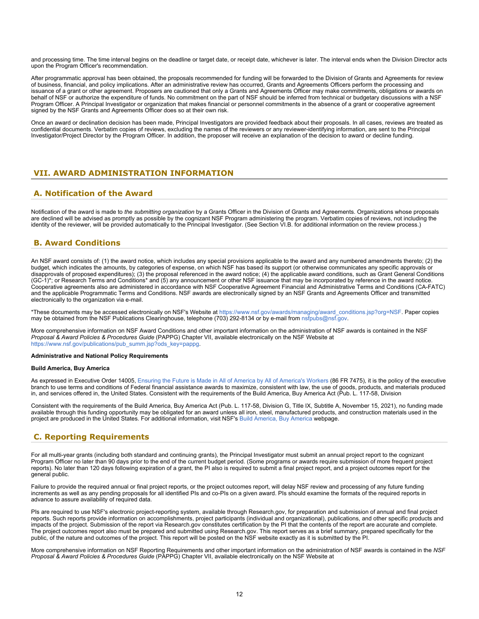and processing time. The time interval begins on the deadline or target date, or receipt date, whichever is later. The interval ends when the Division Director acts upon the Program Officer's recommendation.

After programmatic approval has been obtained, the proposals recommended for funding will be forwarded to the Division of Grants and Agreements for review of business, financial, and policy implications. After an administrative review has occurred, Grants and Agreements Officers perform the processing and issuance of a grant or other agreement. Proposers are cautioned that only a Grants and Agreements Officer may make commitments, obligations or awards on behalf of NSF or authorize the expenditure of funds. No commitment on the part of NSF should be inferred from technical or budgetary discussions with a NSF Program Officer. A Principal Investigator or organization that makes financial or personnel commitments in the absence of a grant or cooperative agreement signed by the NSF Grants and Agreements Officer does so at their own risk.

Once an award or declination decision has been made, Principal Investigators are provided feedback about their proposals. In all cases, reviews are treated as confidential documents. Verbatim copies of reviews, excluding the names of the reviewers or any reviewer-identifying information, are sent to the Principal Investigator/Project Director by the Program Officer. In addition, the proposer will receive an explanation of the decision to award or decline funding.

## <span id="page-11-0"></span>**VII. AWARD ADMINISTRATION INFORMATION**

## <span id="page-11-1"></span>**A. Notification of the Award**

Notification of the award is made to *the submitting organization* by a Grants Officer in the Division of Grants and Agreements. Organizations whose proposals are declined will be advised as promptly as possible by the cognizant NSF Program administering the program. Verbatim copies of reviews, not including the identity of the reviewer, will be provided automatically to the Principal Investigator. (See Section VI.B. for additional information on the review process.)

## <span id="page-11-2"></span>**B. Award Conditions**

An NSF award consists of: (1) the award notice, which includes any special provisions applicable to the award and any numbered amendments thereto; (2) the budget, which indicates the amounts, by categories of expense, on which NSF has based its support (or otherwise communicates any specific approvals or disapprovals of proposed expenditures); (3) the proposal referenced in the award notice; (4) the applicable award conditions, such as Grant General Conditions (GC-1)\*; or Research Terms and Conditions\* and (5) any announcement or other NSF issuance that may be incorporated by reference in the award notice. Cooperative agreements also are administered in accordance with NSF Cooperative Agreement Financial and Administrative Terms and Conditions (CA-FATC) and the applicable Programmatic Terms and Conditions. NSF awards are electronically signed by an NSF Grants and Agreements Officer and transmitted electronically to the organization via e-mail.

\*These documents may be accessed electronically on NSF's Website at [https://www.nsf.gov/awards/managing/award\\_conditions.jsp?org=NSF](https://www.nsf.gov/awards/managing/award_conditions.jsp?org=NSF). Paper copies may be obtained from the NSF Publications Clearinghouse, telephone (703) 292-8134 or by e-mail from [nsfpubs@nsf.gov.](mailto:nsfpubs@nsf.gov)

More comprehensive information on NSF Award Conditions and other important information on the administration of NSF awards is contained in the NSF *Proposal & Award Policies & Procedures Guide* (PAPPG) Chapter VII, available electronically on the NSF Website at [https://www.nsf.gov/publications/pub\\_summ.jsp?ods\\_key=pappg.](https://www.nsf.gov/publications/pub_summ.jsp?ods_key=pappg)

#### **Administrative and National Policy Requirements**

#### **Build America, Buy America**

As expressed in Executive Order 14005, [Ensuring the Future is Made in All of America by All of America's Workers](https://www.federalregister.gov/documents/2021/01/28/2021-02038/ensuring-the-future-is-made-in-all-of-america-by-all-of-americas-workers) (86 FR 7475), it is the policy of the executive branch to use terms and conditions of Federal financial assistance awards to maximize, consistent with law, the use of goods, products, and materials produced in, and services offered in, the United States. Consistent with the requirements of the Build America, Buy America Act (Pub. L. 117-58, Division

Consistent with the requirements of the Build America, Buy America Act (Pub. L. 117-58, Division G, Title IX, Subtitle A, November 15, 2021), no funding made available through this funding opportunity may be obligated for an award unless all iron, steel, manufactured products, and construction materials used in the project are produced in the United States. For additional information, visit NSF's [Build America, Buy America](https://beta.nsf.gov/funding/build-america-buy-america) webpage.

## <span id="page-11-3"></span>**C. Reporting Requirements**

For all multi-year grants (including both standard and continuing grants), the Principal Investigator must submit an annual project report to the cognizant Program Officer no later than 90 days prior to the end of the current budget period. (Some programs or awards require submission of more frequent project reports). No later than 120 days following expiration of a grant, the PI also is required to submit a final project report, and a project outcomes report for the general public.

Failure to provide the required annual or final project reports, or the project outcomes report, will delay NSF review and processing of any future funding increments as well as any pending proposals for all identified PIs and co-PIs on a given award. PIs should examine the formats of the required reports in advance to assure availability of required data.

PIs are required to use NSF's electronic project-reporting system, available through Research.gov, for preparation and submission of annual and final project reports. Such reports provide information on accomplishments, project participants (individual and organizational), publications, and other specific products and impacts of the project. Submission of the report via Research.gov constitutes certification by the PI that the contents of the report are accurate and complete. The project outcomes report also must be prepared and submitted using Research.gov. This report serves as a brief summary, prepared specifically for the public, of the nature and outcomes of the project. This report will be posted on the NSF website exactly as it is submitted by the PI.

More comprehensive information on NSF Reporting Requirements and other important information on the administration of NSF awards is contained in the *NSF Proposal & Award Policies & Procedures Guide* (PAPPG) Chapter VII, available electronically on the NSF Website at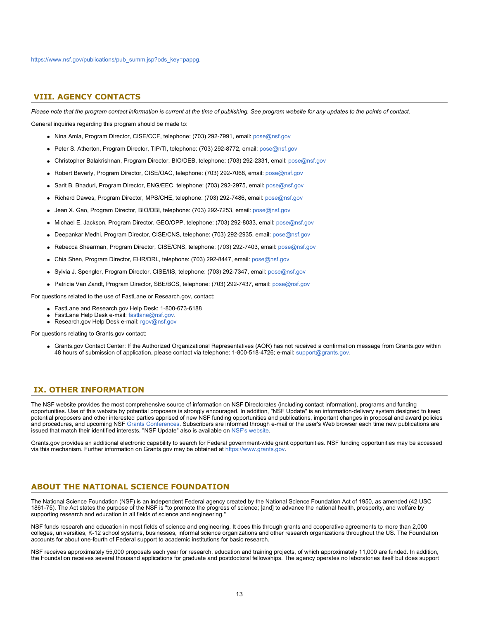### <span id="page-12-0"></span>**VIII. AGENCY CONTACTS**

*Please note that the program contact information is current at the time of publishing. See program website for any updates to the points of contact.* General inquiries regarding this program should be made to:

- Nina Amla, Program Director, CISE/CCF, telephone: (703) 292-7991, email: [pose@nsf.gov](mailto:pose@nsf.gov)
- Peter S. Atherton, Program Director, TIP/TI, telephone: (703) 292-8772, email: [pose@nsf.gov](mailto:pose@nsf.gov)
- Christopher Balakrishnan, Program Director, BIO/DEB, telephone: (703) 292-2331, email: [pose@nsf.gov](mailto:pose@nsf.gov)
- Robert Beverly, Program Director, CISE/OAC, telephone: (703) 292-7068, email: [pose@nsf.gov](mailto:pose@nsf.gov)
- Sarit B. Bhaduri, Program Director, ENG/EEC, telephone: (703) 292-2975, email: [pose@nsf.gov](mailto:pose@nsf.gov)
- Richard Dawes, Program Director, MPS/CHE, telephone: (703) 292-7486, email: [pose@nsf.gov](mailto:pose@nsf.gov)
- Jean X. Gao, Program Director, BIO/DBI, telephone: (703) 292-7253, email: [pose@nsf.gov](mailto:pose@nsf.gov)
- Michael E. Jackson, Program Director, GEO/OPP, telephone: (703) 292-8033, email: [pose@nsf.gov](mailto:pose@nsf.gov)
- Deepankar Medhi, Program Director, CISE/CNS, telephone: (703) 292-2935, email: [pose@nsf.gov](mailto:pose@nsf.gov)
- Rebecca Shearman, Program Director, CISE/CNS, telephone: (703) 292-7403, email: [pose@nsf.gov](mailto:pose@nsf.gov)
- Chia Shen, Program Director, EHR/DRL, telephone: (703) 292-8447, email: [pose@nsf.gov](mailto:pose@nsf.gov)
- Sylvia J. Spengler, Program Director, CISE/IIS, telephone: (703) 292-7347, email: [pose@nsf.gov](mailto:pose@nsf.gov)
- Patricia Van Zandt, Program Director, SBE/BCS, telephone: (703) 292-7437, email: [pose@nsf.gov](mailto:pose@nsf.gov)

For questions related to the use of FastLane or Research.gov, contact:

- FastLane and Research.gov Help Desk: 1-800-673-6188
- FastLane Help Desk e-mail: [fastlane@nsf.gov](mailto:fastlane@nsf.gov).
- Research.gov Help Desk e-mail: [rgov@nsf.gov](mailto:rgov@nsf.gov)

For questions relating to Grants.gov contact:

Grants.gov Contact Center: If the Authorized Organizational Representatives (AOR) has not received a confirmation message from Grants.gov within 48 hours of submission of application, please contact via telephone: 1-800-518-4726; e-mail: [support@grants.gov](mailto:support@grants.gov).

### <span id="page-12-1"></span>**IX. OTHER INFORMATION**

The NSF website provides the most comprehensive source of information on NSF Directorates (including contact information), programs and funding opportunities. Use of this website by potential proposers is strongly encouraged. In addition, "NSF Update" is an information-delivery system designed to keep potential proposers and other interested parties apprised of new NSF funding opportunities and publications, important changes in proposal and award policies and procedures, and upcoming NSF [Grants Conferences](https://www.nsf.gov/bfa/dias/policy/outreach.jsp). Subscribers are informed through e-mail or the user's Web browser each time new publications are issued that match their identified interests. "NSF Update" also is available on [NSF's website](https://www.nsf.gov/cgi-bin/goodbye?https://public.govdelivery.com/accounts/USNSF/subscriber/new?topic_id=USNSF_179).

Grants.gov provides an additional electronic capability to search for Federal government-wide grant opportunities. NSF funding opportunities may be accessed via this mechanism. Further information on Grants.gov may be obtained at [https://www.grants.gov](https://www.grants.gov/).

## **ABOUT THE NATIONAL SCIENCE FOUNDATION**

The National Science Foundation (NSF) is an independent Federal agency created by the National Science Foundation Act of 1950, as amended (42 USC 1861-75). The Act states the purpose of the NSF is "to promote the progress of science; [and] to advance the national health, prosperity, and welfare by supporting research and education in all fields of science and engineering."

NSF funds research and education in most fields of science and engineering. It does this through grants and cooperative agreements to more than 2,000 colleges, universities, K-12 school systems, businesses, informal science organizations and other research organizations throughout the US. The Foundation accounts for about one-fourth of Federal support to academic institutions for basic research.

NSF receives approximately 55,000 proposals each year for research, education and training projects, of which approximately 11,000 are funded. In addition, the Foundation receives several thousand applications for graduate and postdoctoral fellowships. The agency operates no laboratories itself but does support